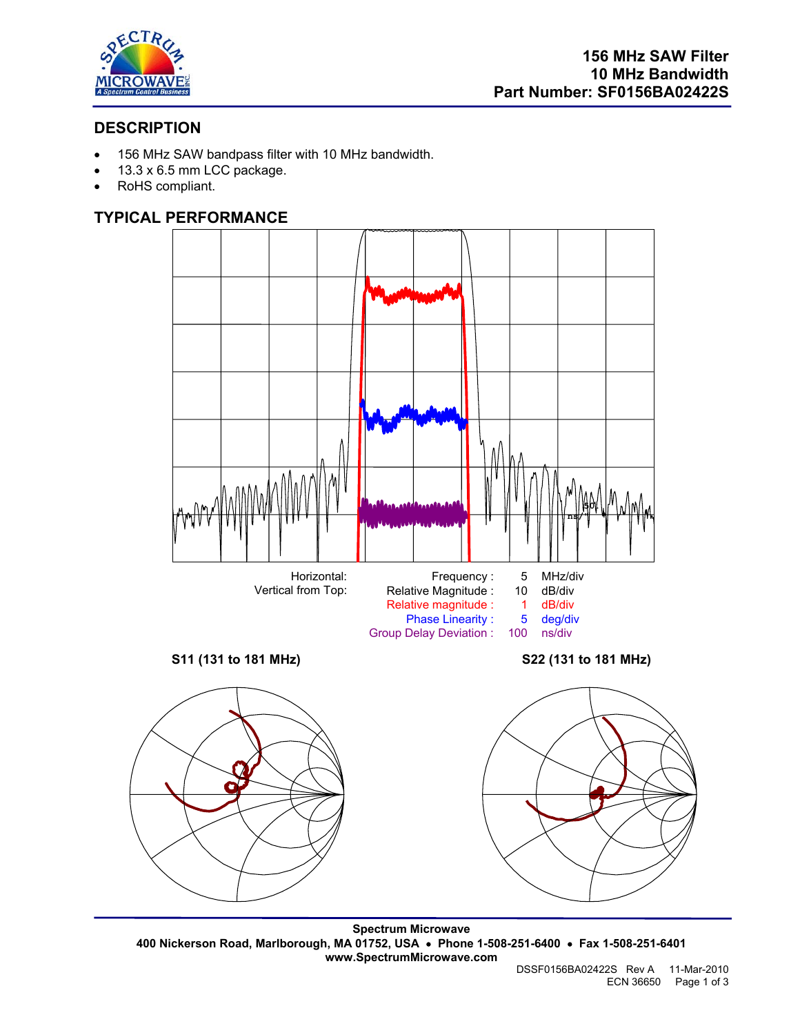

# **DESCRIPTION**

- 156 MHz SAW bandpass filter with 10 MHz bandwidth.
- 13.3 x 6.5 mm LCC package.
- RoHS compliant.

## **TYPICAL PERFORMANCE**



**Spectrum Microwave 400 Nickerson Road, Marlborough, MA 01752, USA** • **Phone 1-508-251-6400** • **Fax 1-508-251-6401 www.SpectrumMicrowave.com**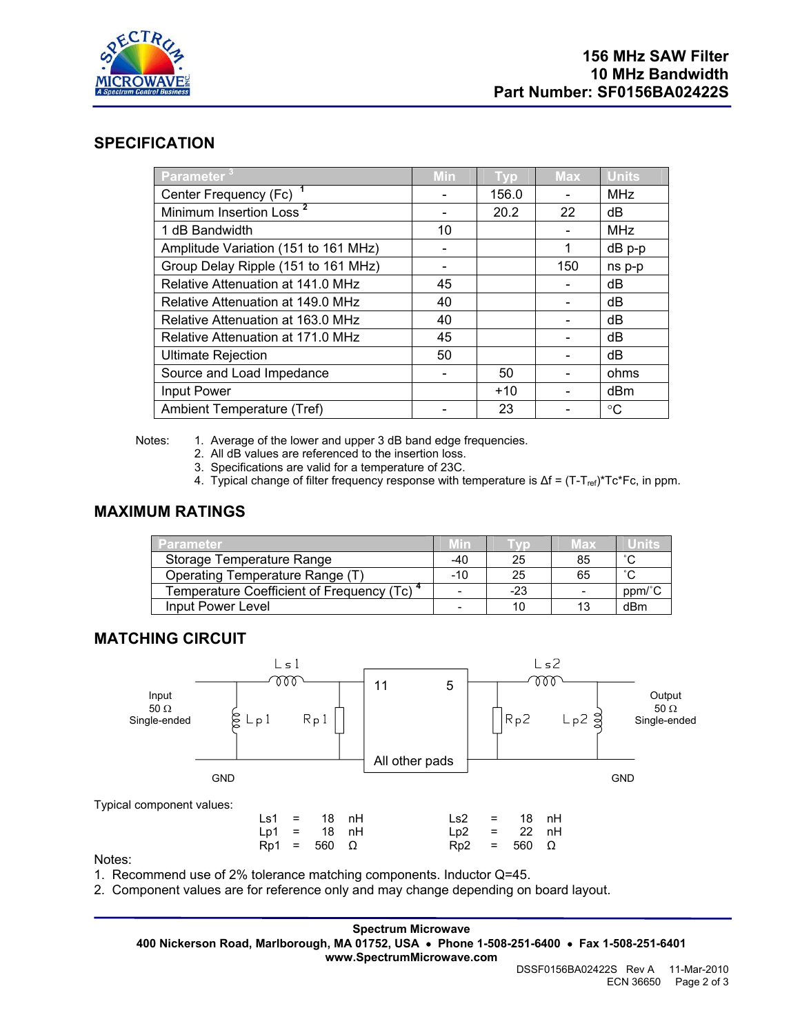

## **SPECIFICATION**

| <b>Parameter</b> $3$                 | Min | <b>Typ</b> | <b>Max</b> | <b>Units</b> |
|--------------------------------------|-----|------------|------------|--------------|
| Center Frequency (Fc) <sup>1</sup>   |     | 156.0      |            | <b>MHz</b>   |
| Minimum Insertion Loss <sup>2</sup>  |     | 20.2       | 22         | dB           |
| 1 dB Bandwidth                       | 10  |            |            | <b>MHz</b>   |
| Amplitude Variation (151 to 161 MHz) |     |            | 1          | dB p-p       |
| Group Delay Ripple (151 to 161 MHz)  |     |            | 150        | ns p-p       |
| Relative Attenuation at 141.0 MHz    | 45  |            |            | dB           |
| Relative Attenuation at 149.0 MHz    | 40  |            |            | dB           |
| Relative Attenuation at 163.0 MHz    | 40  |            |            | dB           |
| Relative Attenuation at 171.0 MHz    | 45  |            |            | dB           |
| <b>Ultimate Rejection</b>            | 50  |            |            | dB           |
| Source and Load Impedance            |     | 50         |            | ohms         |
| Input Power                          |     | $+10$      |            | dBm          |
| Ambient Temperature (Tref)           |     | 23         |            | °C           |

Notes: 1. Average of the lower and upper 3 dB band edge frequencies.

- 2. All dB values are referenced to the insertion loss.
- 3. Specifications are valid for a temperature of 23C.
- 4. Typical change of filter frequency response with temperature is Δf = (T-T<sub>ref)</sub>\*Tc\*Fc, in ppm.

## **MAXIMUM RATINGS**

| <b>Parameter</b>                                       | <b>MID</b>               |     | мах | Units  |
|--------------------------------------------------------|--------------------------|-----|-----|--------|
| Storage Temperature Range                              | -40                      | 25  | 85  | $\sim$ |
| Operating Temperature Range (T)                        | $-10$                    | 25  | 65  | $\sim$ |
| Temperature Coefficient of Frequency (Tc) <sup>4</sup> | -                        | -23 |     | ppm/°C |
| Input Power Level                                      | $\overline{\phantom{0}}$ |     | 13  | dBm    |

## **MATCHING CIRCUIT**



Notes:

1. Recommend use of 2% tolerance matching components. Inductor Q=45.

2. Component values are for reference only and may change depending on board layout.

**Spectrum Microwave 400 Nickerson Road, Marlborough, MA 01752, USA** • **Phone 1-508-251-6400** • **Fax 1-508-251-6401 www.SpectrumMicrowave.com**